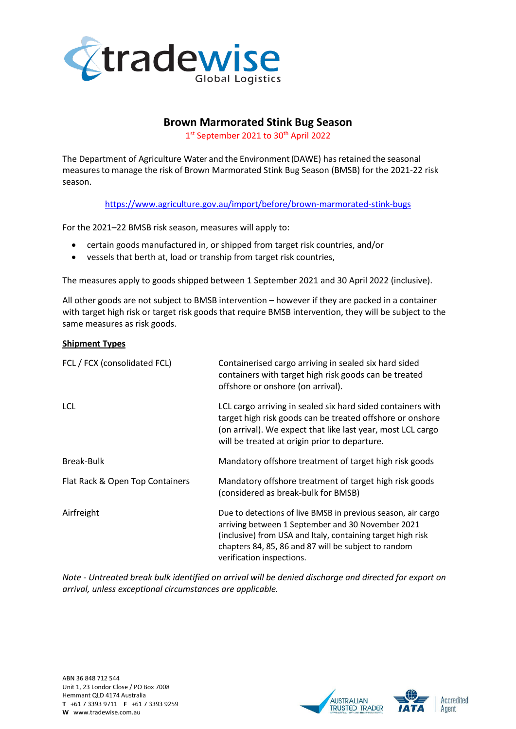

# **Brown Marmorated Stink Bug Season**

1st September 2021 to 30<sup>th</sup> April 2022

The Department of Agriculture Water and the Environment(DAWE) hasretained the seasonal measuresto manage the risk of Brown Marmorated Stink Bug Season (BMSB) for the 2021-22 risk season.

<https://www.agriculture.gov.au/import/before/brown-marmorated-stink-bugs>

For the 2021–22 BMSB risk season, measures will apply to:

- certain goods manufactured in, or shipped from target risk countries, and/or
- vessels that berth at, load or tranship from target risk countries,

The measures apply to goods shipped between 1 September 2021 and 30 April 2022 (inclusive).

All other goods are not subject to BMSB intervention – however if they are packed in a container with target high risk or target risk goods that require BMSB intervention, they will be subject to the same measures as risk goods.

#### **Shipment Types**

| FCL / FCX (consolidated FCL)    | Containerised cargo arriving in sealed six hard sided<br>containers with target high risk goods can be treated<br>offshore or onshore (on arrival).                                                                                                                   |  |
|---------------------------------|-----------------------------------------------------------------------------------------------------------------------------------------------------------------------------------------------------------------------------------------------------------------------|--|
| LCL                             | LCL cargo arriving in sealed six hard sided containers with<br>target high risk goods can be treated offshore or onshore<br>(on arrival). We expect that like last year, most LCL cargo<br>will be treated at origin prior to departure.                              |  |
| Break-Bulk                      | Mandatory offshore treatment of target high risk goods                                                                                                                                                                                                                |  |
| Flat Rack & Open Top Containers | Mandatory offshore treatment of target high risk goods<br>(considered as break-bulk for BMSB)                                                                                                                                                                         |  |
| Airfreight                      | Due to detections of live BMSB in previous season, air cargo<br>arriving between 1 September and 30 November 2021<br>(inclusive) from USA and Italy, containing target high risk<br>chapters 84, 85, 86 and 87 will be subject to random<br>verification inspections. |  |

*Note - Untreated break bulk identified on arrival will be denied discharge and directed for export on arrival, unless exceptional circumstances are applicable.*

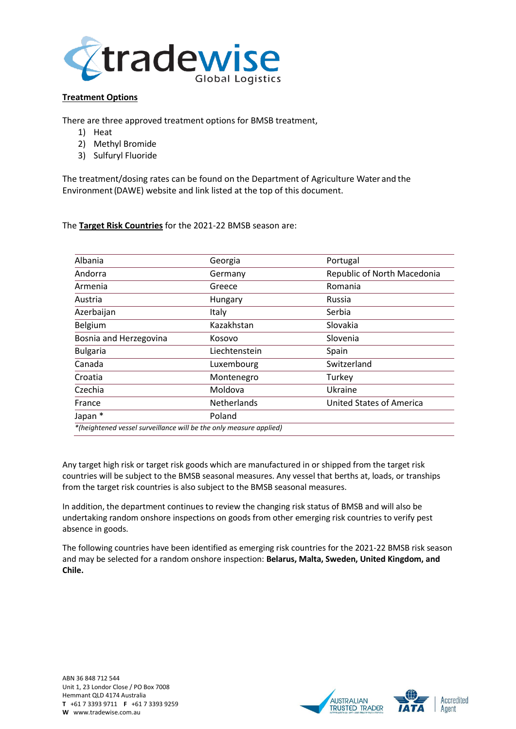

# **Treatment Options**

There are three approved treatment options for BMSB treatment,

- 1) Heat
- 2) Methyl Bromide
- 3) Sulfuryl Fluoride

The treatment/dosing rates can be found on the Department of Agriculture Water and the Environment(DAWE) website and link listed at the top of this document.

### The **Target Risk Countries** for the 2021-22 BMSB season are:

| Albania                                                            | Georgia            | Portugal                        |
|--------------------------------------------------------------------|--------------------|---------------------------------|
| Andorra                                                            | Germany            | Republic of North Macedonia     |
| Armenia                                                            | Greece             | Romania                         |
| Austria                                                            | Hungary            | Russia                          |
| Azerbaijan                                                         | Italy              | Serbia                          |
| Belgium                                                            | Kazakhstan         | Slovakia                        |
| Bosnia and Herzegovina                                             | Kosovo             | Slovenia                        |
| <b>Bulgaria</b>                                                    | Liechtenstein      | Spain                           |
| Canada                                                             | Luxembourg         | Switzerland                     |
| Croatia                                                            | Montenegro         | Turkey                          |
| Czechia                                                            | Moldova            | Ukraine                         |
| France                                                             | <b>Netherlands</b> | <b>United States of America</b> |
| Japan *                                                            | Poland             |                                 |
| *(heightened vessel surveillance will be the only measure applied) |                    |                                 |

Any target high risk or target risk goods which are manufactured in or shipped from the target risk countries will be subject to the BMSB seasonal measures. Any vessel that berths at, loads, or tranships from the target risk countries is also subject to the BMSB seasonal measures.

In addition, the department continues to review the changing risk status of BMSB and will also be undertaking random onshore inspections on goods from other emerging risk countries to verify pest absence in goods.

The following countries have been identified as emerging risk countries for the 2021-22 BMSB risk season and may be selected for a random onshore inspection: **Belarus, Malta, Sweden, United Kingdom, and Chile.**

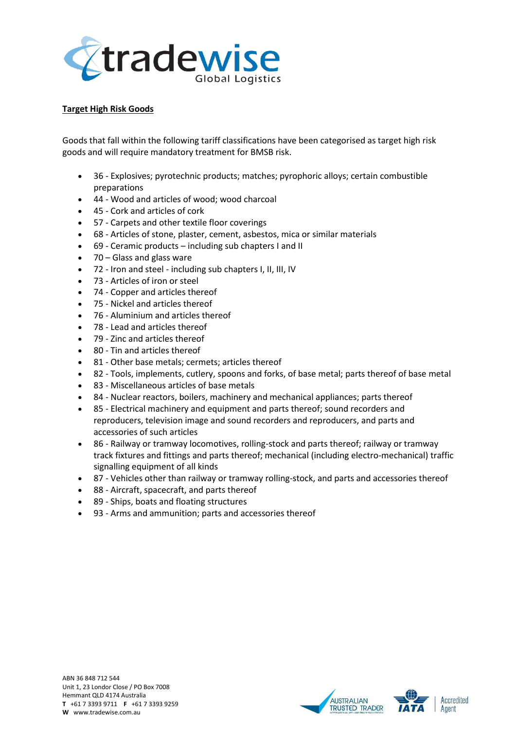

# **Target High Risk Goods**

Goods that fall within the following tariff classifications have been categorised as target high risk goods and will require mandatory treatment for BMSB risk.

- 36 Explosives; pyrotechnic products; matches; pyrophoric alloys; certain combustible preparations
- 44 Wood and articles of wood; wood charcoal
- 45 Cork and articles of cork
- 57 Carpets and other textile floor coverings
- 68 Articles of stone, plaster, cement, asbestos, mica or similar materials
- 69 Ceramic products including sub chapters I and II
- $70 -$  Glass and glass ware
- 72 Iron and steel including sub chapters I, II, III, IV
- 73 Articles of iron or steel
- 74 Copper and articles thereof
- 75 Nickel and articles thereof
- 76 Aluminium and articles thereof
- 78 Lead and articles thereof
- 79 Zinc and articles thereof
- 80 Tin and articles thereof
- 81 Other base metals; cermets; articles thereof
- 82 Tools, implements, cutlery, spoons and forks, of base metal; parts thereof of base metal
- 83 Miscellaneous articles of base metals
- 84 Nuclear reactors, boilers, machinery and mechanical appliances; parts thereof
- 85 Electrical machinery and equipment and parts thereof; sound recorders and reproducers, television image and sound recorders and reproducers, and parts and accessories of such articles
- 86 Railway or tramway locomotives, rolling-stock and parts thereof; railway or tramway track fixtures and fittings and parts thereof; mechanical (including electro-mechanical) traffic signalling equipment of all kinds
- 87 Vehicles other than railway or tramway rolling-stock, and parts and accessories thereof
- 88 Aircraft, spacecraft, and parts thereof
- 89 Ships, boats and floating structures
- 93 Arms and ammunition; parts and accessories thereof